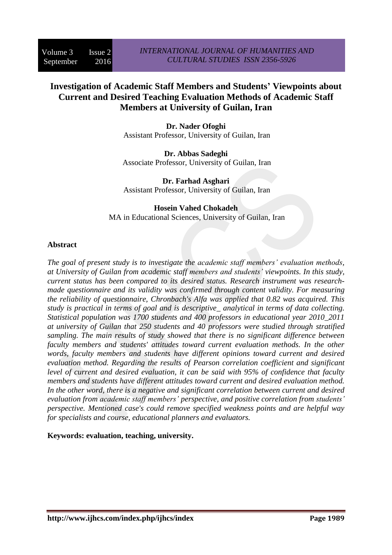# **Investigation of Academic Staff Members and Students' Viewpoints about Current and Desired Teaching Evaluation Methods of Academic Staff Members at University of Guilan, Iran**

**Dr. Nader Ofoghi** Assistant Professor, University of Guilan, Iran

**Dr. Abbas Sadeghi** Associate Professor, University of Guilan, Iran

**Dr. Farhad Asghari** Assistant Professor, University of Guilan, Iran

#### **Hosein Vahed Chokadeh** MA in Educational Sciences, University of Guilan, Iran

### **Abstract**

*The goal of present study is to investigate the academic staff members' evaluation methods, at University of Guilan from academic staff members and students' viewpoints. In this study, current status has been compared to its desired status. Research instrument was researchmade questionnaire and its validity was confirmed through content validity. For measuring the reliability of questionnaire, Chronbach's Alfa was applied that 0.82 was acquired. This study is practical in terms of goal and is descriptive\_ analytical in terms of data collecting. Statistical population was 1700 students and 400 professors in educational year 2010\_2011 at university of Guilan that 250 students and 40 professors were studied through stratified sampling. The main results of study showed that there is no significant difference between faculty members and students' attitudes toward current evaluation methods. In the other words, faculty members and students have different opinions toward current and desired evaluation method. Regarding the results of Pearson correlation coefficient and significant level of current and desired evaluation, it can be said with 95% of confidence that faculty members and students have different attitudes toward current and desired evaluation method. In the other word, there is a negative and significant correlation between current and desired evaluation from academic staff members' perspective, and positive correlation from students' perspective. Mentioned case's could remove specified weakness points and are helpful way for specialists and course, educational planners and evaluators.*

#### **Keywords: evaluation, teaching, university.**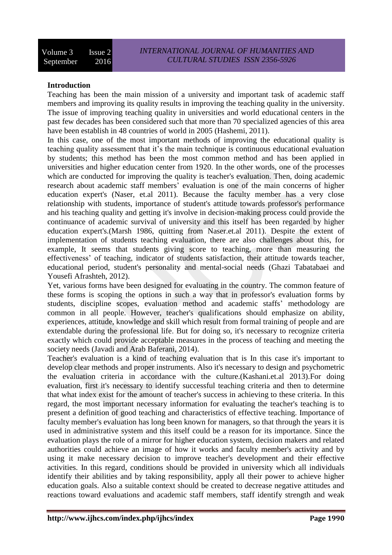### **Introduction**

Teaching has been the main mission of a university and important task of academic staff members and improving its quality results in improving the teaching quality in the university. The issue of improving teaching quality in universities and world educational centers in the past few decades has been considered such that more than 70 specialized agencies of this area have been establish in 48 countries of world in 2005 (Hashemi, 2011).

In this case, one of the most important methods of improving the educational quality is teaching quality assessment that it's the main technique is continuous educational evaluation by students; this method has been the most common method and has been applied in universities and higher education center from 1920. In the other words, one of the processes which are conducted for improving the quality is teacher's evaluation. Then, doing academic research about academic staff members' evaluation is one of the main concerns of higher education expert's (Naser, et.al 2011). Because the faculty member has a very close relationship with students, importance of student's attitude towards professor's performance and his teaching quality and getting it's involve in decision-making process could provide the continuance of academic survival of university and this itself has been regarded by higher education expert's.(Marsh 1986, quitting from Naser.et.al 2011). Despite the extent of implementation of students teaching evaluation, there are also challenges about this, for example, It seems that students giving score to teaching, more than measuring the effectiveness' of teaching, indicator of students satisfaction, their attitude towards teacher, educational period, student's personality and mental-social needs (Ghazi Tabatabaei and Yousefi Afrashteh, 2012).

Yet, various forms have been designed for evaluating in the country. The common feature of these forms is scoping the options in such a way that in professor's evaluation forms by students, discipline scopes, evaluation method and academic staffs' methodology are common in all people. However, teacher's qualifications should emphasize on ability, experiences, attitude, knowledge and skill which result from formal training of people and are extendable during the professional life. But for doing so, it's necessary to recognize criteria exactly which could provide acceptable measures in the process of teaching and meeting the society needs (Javadi and Arab Baferani, 2014).

Teacher's evaluation is a kind of teaching evaluation that is In this case it's important to develop clear methods and proper instruments. Also it's necessary to design and psychometric the evaluation criteria in accordance with the culture.(Kashani.et.al 2013).For doing evaluation, first it's necessary to identify successful teaching criteria and then to determine that what index exist for the amount of teacher's success in achieving to these criteria. In this regard, the most important necessary information for evaluating the teacher's teaching is to present a definition of good teaching and characteristics of effective teaching. Importance of faculty member's evaluation has long been known for managers, so that through the years it is used in administrative system and this itself could be a reason for its importance. Since the evaluation plays the role of a mirror for higher education system, decision makers and related authorities could achieve an image of how it works and faculty member's activity and by using it make necessary decision to improve teacher's development and their effective activities. In this regard, conditions should be provided in university which all individuals identify their abilities and by taking responsibility, apply all their power to achieve higher education goals. Also a suitable context should be created to decrease negative attitudes and reactions toward evaluations and academic staff members, staff identify strength and weak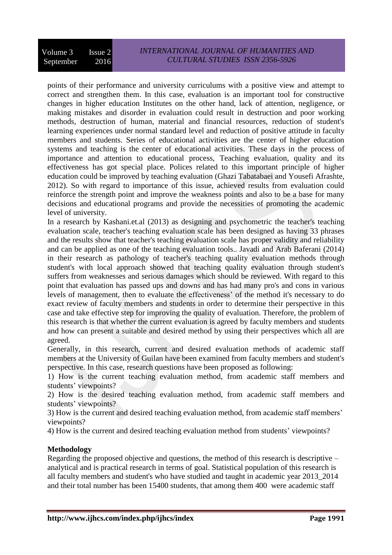points of their performance and university curriculums with a positive view and attempt to correct and strengthen them. In this case, evaluation is an important tool for constructive changes in higher education Institutes on the other hand, lack of attention, negligence, or making mistakes and disorder in evaluation could result in destruction and poor working methods, destruction of human, material and financial resources, reduction of student's learning experiences under normal standard level and reduction of positive attitude in faculty members and students. Series of educational activities are the center of higher education systems and teaching is the center of educational activities. These days in the process of importance and attention to educational process, Teaching evaluation, quality and its effectiveness has got special place. Polices related to this important principle of higher education could be improved by teaching evaluation (Ghazi Tabatabaei and Yousefi Afrashte, 2012). So with regard to importance of this issue, achieved results from evaluation could reinforce the strength point and improve the weakness points and also to be a base for many decisions and educational programs and provide the necessities of promoting the academic level of university.

In a research by Kashani.et.al (2013) as designing and psychometric the teacher's teaching evaluation scale, teacher's teaching evaluation scale has been designed as having 33 phrases and the results show that teacher's teaching evaluation scale has proper validity and reliability and can be applied as one of the teaching evaluation tools.. Javadi and Arab Baferani (2014) in their research as pathology of teacher's teaching quality evaluation methods through student's with local approach showed that teaching quality evaluation through student's suffers from weaknesses and serious damages which should be reviewed. With regard to this point that evaluation has passed ups and downs and has had many pro's and cons in various levels of management, then to evaluate the effectiveness' of the method it's necessary to do exact review of faculty members and students in order to determine their perspective in this case and take effective step for improving the quality of evaluation. Therefore, the problem of this research is that whether the current evaluation is agreed by faculty members and students and how can present a suitable and desired method by using their perspectives which all are agreed.

Generally, in this research, current and desired evaluation methods of academic staff members at the University of Guilan have been examined from faculty members and student's perspective. In this case, research questions have been proposed as following:

1) How is the current teaching evaluation method, from academic staff members and students' viewpoints?

2) How is the desired teaching evaluation method, from academic staff members and students' viewpoints?

3) How is the current and desired teaching evaluation method, from academic staff members' viewpoints?

4) How is the current and desired teaching evaluation method from students' viewpoints?

## **Methodology**

Regarding the proposed objective and questions, the method of this research is descriptive – analytical and is practical research in terms of goal. Statistical population of this research is all faculty members and student's who have studied and taught in academic year 2013\_2014 and their total number has been 15400 students, that among them 400 were academic staff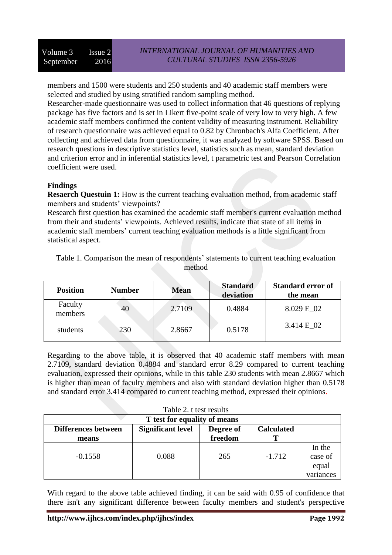members and 1500 were students and 250 students and 40 academic staff members were selected and studied by using stratified random sampling method.

Researcher-made questionnaire was used to collect information that 46 questions of replying package has five factors and is set in Likert five-point scale of very low to very high. A few academic staff members confirmed the content validity of measuring instrument. Reliability of research questionnaire was achieved equal to 0.82 by Chronbach's Alfa Coefficient. After collecting and achieved data from questionnaire, it was analyzed by software SPSS. Based on research questions in descriptive statistics level, statistics such as mean, standard deviation and criterion error and in inferential statistics level, t parametric test and Pearson Correlation coefficient were used.

### **Findings**

**Resaerch Questuin 1:** How is the current teaching evaluation method, from academic staff members and students' viewpoints?

Research first question has examined the academic staff member's current evaluation method from their and students' viewpoints. Achieved results, indicate that state of all items in academic staff members' current teaching evaluation methods is a little significant from statistical aspect.

| $\mathbf{r}$ | . . | <b>B</b> <i>E</i> | <b>Standard</b> | <b>Standard error of</b> |
|--------------|-----|-------------------|-----------------|--------------------------|
|              |     | method            |                 |                          |

Table 1. Comparison the mean of respondents' statements to current teaching evaluation

| <b>Position</b>    | <b>Number</b> | <b>Mean</b> | <b>Standard</b><br>deviation | <b>Standard error of</b><br>the mean |
|--------------------|---------------|-------------|------------------------------|--------------------------------------|
| Faculty<br>members | 40            | 2.7109      | 0.4884                       | 8.029 E 02                           |
| students           | 230           | 2.8667      | 0.5178                       | 3.414 E 02                           |

Regarding to the above table, it is observed that 40 academic staff members with mean 2.7109, standard deviation 0.4884 and standard error 8.29 compared to current teaching evaluation, expressed their opinions, while in this table 230 students with mean 2.8667 which is higher than mean of faculty members and also with standard deviation higher than 0.5178 and standard error 3.414 compared to current teaching method, expressed their opinions.

| Table 2. t test results                                                                  |       |         |          |           |  |
|------------------------------------------------------------------------------------------|-------|---------|----------|-----------|--|
| T test for equality of means                                                             |       |         |          |           |  |
| <b>Significant level</b><br><b>Calculated</b><br><b>Differences between</b><br>Degree of |       |         |          |           |  |
| means                                                                                    |       | freedom |          |           |  |
|                                                                                          |       |         |          | In the    |  |
| $-0.1558$                                                                                | 0.088 | 265     | $-1.712$ | case of   |  |
|                                                                                          |       |         |          | equal     |  |
|                                                                                          |       |         |          | variances |  |

With regard to the above table achieved finding, it can be said with 0.95 of confidence that there isn't any significant difference between faculty members and student's perspective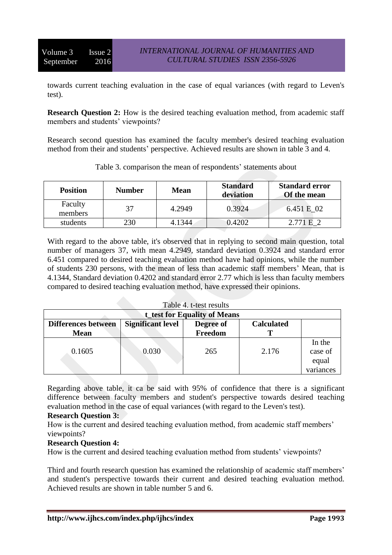towards current teaching evaluation in the case of equal variances (with regard to Leven's test).

**Research Question 2:** How is the desired teaching evaluation method, from academic staff members and students' viewpoints?

Research second question has examined the faculty member's desired teaching evaluation method from their and students' perspective. Achieved results are shown in table 3 and 4.

| <b>Position</b>    | <b>Number</b> | <b>Mean</b> | <b>Standard</b><br>deviation | <b>Standard error</b><br>Of the mean |
|--------------------|---------------|-------------|------------------------------|--------------------------------------|
| Faculty<br>members | 37            | 4.2949      | 0.3924                       | 6.451 E 02                           |
| students           | 230           | 4.1344      | 0.4202                       | 2771F2                               |

Table 3. comparison the mean of respondents' statements about

With regard to the above table, it's observed that in replying to second main question, total number of managers 37, with mean 4.2949, standard deviation 0.3924 and standard error 6.451 compared to desired teaching evaluation method have had opinions, while the number of students 230 persons, with the mean of less than academic staff members' Mean, that is 4.1344, Standard deviation 0.4202 and standard error 2.77 which is less than faculty members compared to desired teaching evaluation method, have expressed their opinions.

| Table 4. t-test results             |                                                            |         |       |           |  |  |
|-------------------------------------|------------------------------------------------------------|---------|-------|-----------|--|--|
| <b>t_test for Equality of Means</b> |                                                            |         |       |           |  |  |
| <b>Differences between</b>          | <b>Significant level</b><br><b>Calculated</b><br>Degree of |         |       |           |  |  |
| <b>Mean</b>                         |                                                            | Freedom |       |           |  |  |
|                                     |                                                            |         |       | In the    |  |  |
| 0.1605                              | 0.030                                                      | 265     | 2.176 | case of   |  |  |
|                                     |                                                            |         |       | equal     |  |  |
|                                     |                                                            |         |       | variances |  |  |

Regarding above table, it ca be said with 95% of confidence that there is a significant difference between faculty members and student's perspective towards desired teaching evaluation method in the case of equal variances (with regard to the Leven's test).

### **Research Question 3:**

How is the current and desired teaching evaluation method, from academic staff members' viewpoints?

### **Research Question 4:**

How is the current and desired teaching evaluation method from students' viewpoints?

Third and fourth research question has examined the relationship of academic staff members' and student's perspective towards their current and desired teaching evaluation method. Achieved results are shown in table number 5 and 6.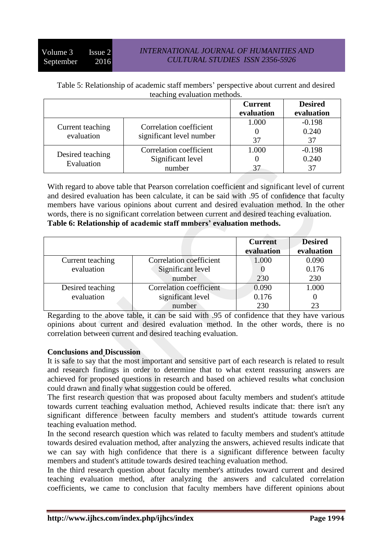### *INTERNATIONAL JOURNAL OF HUMANITIES AND CULTURAL STUDIES ISSN 2356-5926*

| Table 5: Relationship of academic staff members' perspective about current and desired |  |
|----------------------------------------------------------------------------------------|--|
| teaching evaluation methods.                                                           |  |

|                                |                          | <b>Current</b> | <b>Desired</b> |
|--------------------------------|--------------------------|----------------|----------------|
|                                |                          | evaluation     | evaluation     |
|                                | Correlation coefficient  | 1.000          | $-0.198$       |
| Current teaching<br>evaluation | significant level number |                | 0.240          |
|                                |                          | 37             | 37             |
| Desired teaching<br>Evaluation | Correlation coefficient  | 1.000          | $-0.198$       |
|                                | Significant level        |                | 0.240          |
|                                | number                   |                | 37             |

With regard to above table that Pearson correlation coefficient and significant level of current and desired evaluation has been calculate, it can be said with .95 of confidence that faculty members have various opinions about current and desired evaluation method. In the other words, there is no significant correlation between current and desired teaching evaluation. **Table 6: Relationship of academic staff mmbers' evaluation methods.**

|                  |                         | <b>Current</b><br>evaluation | <b>Desired</b><br>evaluation |
|------------------|-------------------------|------------------------------|------------------------------|
| Current teaching | Correlation coefficient | 1.000                        | 0.090                        |
| evaluation       | Significant level       |                              | 0.176                        |
|                  | number                  | 230                          | 230                          |
| Desired teaching | Correlation coefficient | 0.090                        | 1.000                        |
| evaluation       | significant level       | 0.176                        |                              |
|                  | number                  | 230                          | 23                           |

Regarding to the above table, it can be said with .95 of confidence that they have various opinions about current and desired evaluation method. In the other words, there is no correlation between current and desired teaching evaluation.

### **Conclusions and Discussion**

It is safe to say that the most important and sensitive part of each research is related to result and research findings in order to determine that to what extent reassuring answers are achieved for proposed questions in research and based on achieved results what conclusion could drawn and finally what suggestion could be offered.

The first research question that was proposed about faculty members and student's attitude towards current teaching evaluation method, Achieved results indicate that: there isn't any significant difference between faculty members and student's attitude towards current teaching evaluation method.

In the second research question which was related to faculty members and student's attitude towards desired evaluation method, after analyzing the answers, achieved results indicate that we can say with high confidence that there is a significant difference between faculty members and student's attitude towards desired teaching evaluation method.

In the third research question about faculty member's attitudes toward current and desired teaching evaluation method, after analyzing the answers and calculated correlation coefficients, we came to conclusion that faculty members have different opinions about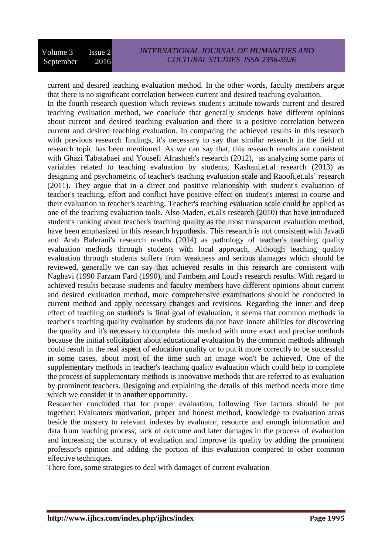current and desired teaching evaluation method. In the other words, faculty members argue that there is no significant correlation between current and desired teaching evaluation. In the fourth research question which reviews student's attitude towards current and desired teaching evaluation method, we conclude that generally students have different opinions about current and desired teaching evaluation and there is a positive correlation between current and desired teaching evaluation. In comparing the achieved results in this research with previous research findings, it's necessary to say that similar research in the field of research topic has been mentioned. As we can say that, this research results are consistent with Ghazi Tabatabaei and Yousefi Afrashteh's research (2012), as analyzing some parts of variables related to teaching evaluation by students, Kashani.et.al research (2013) as designing and psychometric of teacher's teaching evaluation scale and Raoofi,et.als' research (2011). They argue that in a direct and positive relationship with student's evaluation of teacher's teaching, effort and conflict have positive effect on student's interest in course and their evaluation to teacher's teaching. Teacher's teaching evaluation scale could be applied as one of the teaching evaluation tools. Also Maden, et.al's research (2010) that have introduced student's ranking about teacher's teaching quality as the most transparent evaluation method, have been emphasized in this research hypothesis. This research is not consistent with Javadi and Arab Baferani's research results (2014) as pathology of teacher's teaching quality evaluation methods through students with local approach. Although teaching quality evaluation through students suffers from weakness and serious damages which should be reviewed, generally we can say that achieved results in this research are consistent with Naghavi (1990 Farzam Fard (1990), and Fambern and Loud's research results. With regard to achieved results because students and faculty members have different opinions about current and desired evaluation method, more comprehensive examinations should be conducted in current method and apply necessary changes and revisions. Regarding the inner and deep effect of teaching on student's is final goal of evaluation, it seems that common methods in teacher's teaching quality evaluation by students do not have innate abilities for discovering the quality and it's necessary to complete this method with more exact and precise methods because the initial solicitation about educational evaluation by the common methods although could result in the real aspect of education quality or to put it more correctly to be successful in some cases, about most of the time such an image won't be achieved. One of the supplementary methods in teacher's teaching quality evaluation which could help to complete the process of supplementary methods is innovative methods that are referred to as evaluation by prominent teachers. Designing and explaining the details of this method needs more time which we consider it in another opportunity.

Researcher concluded that for proper evaluation, following five factors should be put together: Evaluators motivation, proper and honest method, knowledge to evaluation areas beside the mastery to relevant indexes by evaluator, resource and enough information and data from teaching process, lack of outcome and later damages in the process of evaluation and increasing the accuracy of evaluation and improve its quality by adding the prominent professor's opinion and adding the portion of this evaluation compared to other common effective techniques.

There fore, some strategies to deal with damages of current evaluation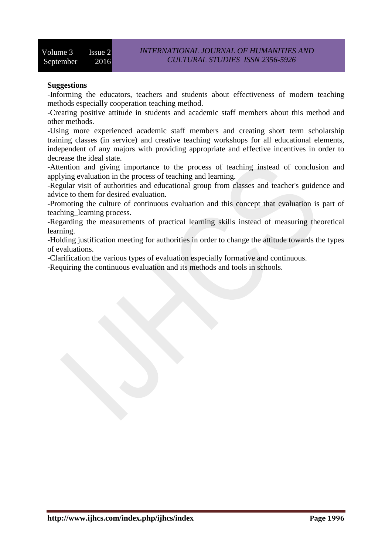### **Suggestions**

-Informing the educators, teachers and students about effectiveness of modern teaching methods especially cooperation teaching method.

-Creating positive attitude in students and academic staff members about this method and other methods.

-Using more experienced academic staff members and creating short term scholarship training classes (in service) and creative teaching workshops for all educational elements, independent of any majors with providing appropriate and effective incentives in order to decrease the ideal state.

-Attention and giving importance to the process of teaching instead of conclusion and applying evaluation in the process of teaching and learning.

-Regular visit of authorities and educational group from classes and teacher's guidence and advice to them for desired evaluation.

-Promoting the culture of continuous evaluation and this concept that evaluation is part of teaching\_learning process.

-Regarding the measurements of practical learning skills instead of measuring theoretical learning.

-Holding justification meeting for authorities in order to change the attitude towards the types of evaluations.

-Clarification the various types of evaluation especially formative and continuous.

-Requiring the continuous evaluation and its methods and tools in schools.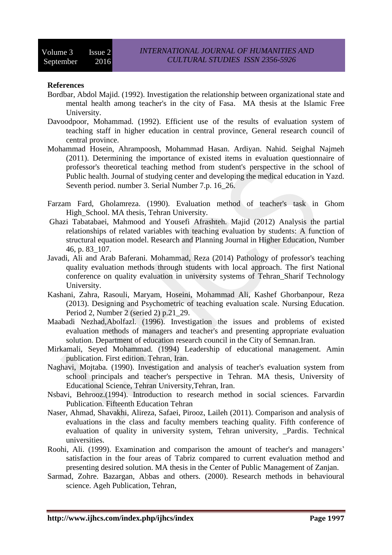#### **References**

- Bordbar, Abdol Majid. (1992). Investigation the relationship between organizational state and mental health among teacher's in the city of Fasa. MA thesis at the Islamic Free University.
- Davoodpoor, Mohammad. (1992). Efficient use of the results of evaluation system of teaching staff in higher education in central province, General research council of central province.
- Mohammad Hosein, Ahrampoosh, Mohammad Hasan. Ardiyan. Nahid. Seighal Najmeh (2011). Determining the importance of existed items in evaluation questionnaire of professor's theoretical teaching method from student's perspective in the school of Public health. Journal of studying center and developing the medical education in Yazd. Seventh period. number 3. Serial Number 7.p. 16\_26.
- Farzam Fard, Gholamreza. (1990). Evaluation method of teacher's task in Ghom High School. MA thesis, Tehran University.
- Ghazi Tabatabaei, Mahmood and Yousefi Afrashteh. Majid (2012) Analysis the partial relationships of related variables with teaching evaluation by students: A function of structural equation model. Research and Planning Journal in Higher Education, Number 46, p. 83\_107.
- Javadi, Ali and Arab Baferani. Mohammad, Reza (2014) Pathology of professor's teaching quality evaluation methods through students with local approach. The first National conference on quality evaluation in university systems of Tehran\_Sharif Technology University.
- Kashani, Zahra, Rasouli, Maryam, Hoseini, Mohammad Ali, Kashef Ghorbanpour, Reza (2013). Designing and Psychometric of teaching evaluation scale. Nursing Education. Period 2, Number 2 (seried 2) p.21\_29.
- Maabadi Nezhad,Abolfazl. (1996). Investigation the issues and problems of existed evaluation methods of managers and teacher's and presenting appropriate evaluation solution. Department of education research council in the City of Semnan.Iran.
- Mirkamali, Seyed Mohammad. (1994) Leadership of educational management. Amin publication. First edition. Tehran, Iran.
- Naghavi, Mojtaba. (1990). Investigation and analysis of teacher's evaluation system from school principals and teacher's perspective in Tehran. MA thesis, University of Educational Science, Tehran University,Tehran, Iran.
- Nsbavi, Behrooz.(1994). Introduction to research method in social sciences. Farvardin Publication. Fifteenth Education Tehran
- Naser, Ahmad, Shavakhi, Alireza, Safaei, Pirooz, Laileh (2011). Comparison and analysis of evaluations in the class and faculty members teaching quality. Fifth conference of evaluation of quality in university system, Tehran university, Pardis. Technical universities.
- Roohi, Ali. (1999). Examination and comparison the amount of teacher's and managers' satisfaction in the four areas of Tabriz compared to current evaluation method and presenting desired solution. MA thesis in the Center of Public Management of Zanjan.
- Sarmad, Zohre. Bazargan, Abbas and others. (2000). Research methods in behavioural science. Ageh Publication, Tehran,